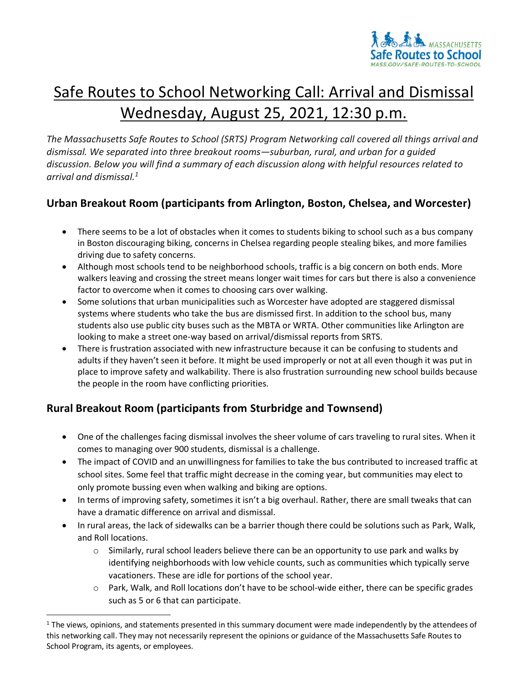

# Safe Routes to School Networking Call: Arrival and Dismissal Wednesday, August 25, 2021, 12:30 p.m.

*The Massachusetts Safe Routes to School (SRTS) Program Networking call covered all things arrival and dismissal. We separated into three breakout rooms—suburban, rural, and urban for a guided discussion. Below you will find a summary of each discussion along with helpful resources related to arrival and dismissal.<sup>1</sup>*

## **Urban Breakout Room (participants from Arlington, Boston, Chelsea, and Worcester)**

- There seems to be a lot of obstacles when it comes to students biking to school such as a bus company in Boston discouraging biking, concerns in Chelsea regarding people stealing bikes, and more families driving due to safety concerns.
- Although most schools tend to be neighborhood schools, traffic is a big concern on both ends. More walkers leaving and crossing the street means longer wait times for cars but there is also a convenience factor to overcome when it comes to choosing cars over walking.
- Some solutions that urban municipalities such as Worcester have adopted are staggered dismissal systems where students who take the bus are dismissed first. In addition to the school bus, many students also use public city buses such as the MBTA or WRTA. Other communities like Arlington are looking to make a street one-way based on arrival/dismissal reports from SRTS.
- There is frustration associated with new infrastructure because it can be confusing to students and adults if they haven't seen it before. It might be used improperly or not at all even though it was put in place to improve safety and walkability. There is also frustration surrounding new school builds because the people in the room have conflicting priorities.

# **Rural Breakout Room (participants from Sturbridge and Townsend)**

- One of the challenges facing dismissal involves the sheer volume of cars traveling to rural sites. When it comes to managing over 900 students, dismissal is a challenge.
- The impact of COVID and an unwillingness for families to take the bus contributed to increased traffic at school sites. Some feel that traffic might decrease in the coming year, but communities may elect to only promote bussing even when walking and biking are options.
- In terms of improving safety, sometimes it isn't a big overhaul. Rather, there are small tweaks that can have a dramatic difference on arrival and dismissal.
- In rural areas, the lack of sidewalks can be a barrier though there could be solutions such as Park, Walk, and Roll locations.
	- $\circ$  Similarly, rural school leaders believe there can be an opportunity to use park and walks by identifying neighborhoods with low vehicle counts, such as communities which typically serve vacationers. These are idle for portions of the school year.
	- $\circ$  Park, Walk, and Roll locations don't have to be school-wide either, there can be specific grades such as 5 or 6 that can participate.

 $1$  The views, opinions, and statements presented in this summary document were made independently by the attendees of this networking call. They may not necessarily represent the opinions or guidance of the Massachusetts Safe Routes to School Program, its agents, or employees.